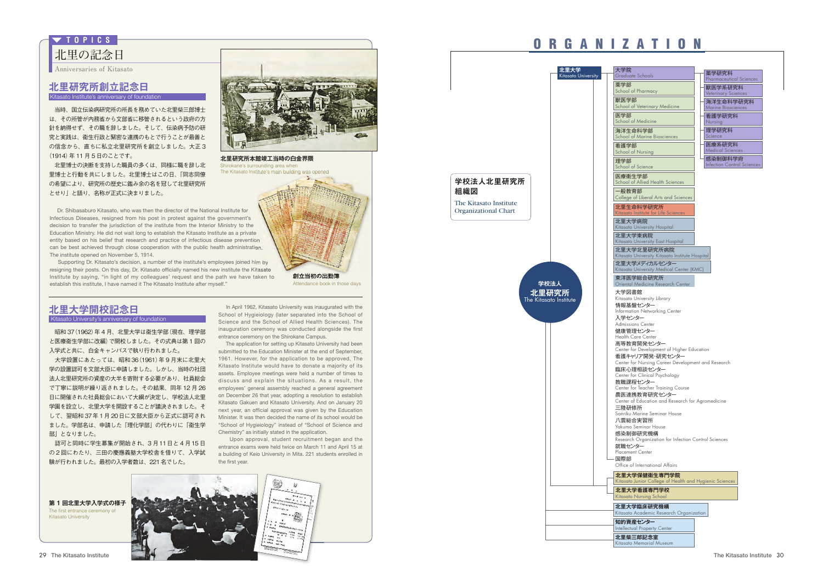**北里の記念日 T O P I C S**

**Anniversaries of Kitasato**

### **北里研究所創立記念日**

Kitasato Institute's anniversary of foundation

 当時、国立伝染病研究所の所長を務めていた北里柴三郎博士 は、その所管が内務省から文部省に移管されるという政府の方 針を納得せず、その職を辞しました。そして、伝染病予防の研 究と実践は、衛生行政と緊密な連携のもとで行うことが最善と の信念から、直ちに私立北里研究所を創立しました。大正 3 (1914)年11月5日のことです。

 北里博士の決断を支持した職員の多くは、同様に職を辞し北 里博士と行動を共にしました。北里博士はこの日、「同志同僚 の希望により、研究所の歴史に鑑み余の名を冠して北里研究所 とせり」と語り、名称が正式に決まりました。



**北里研究所本館竣工当時の白金界隈** Shirokane's surrounding area when The Kitasato Institute's main building was opened

Dr. Shibasaburo Kitasato, who was then the director of the National Institute for Infectious Diseases, resigned from his post in protest against the government's decision to transfer the jurisdiction of the institute from the Interior Ministry to the Education Ministry. He did not wait long to establish the Kitasato Institute as a private entity based on his belief that research and practice of infectious disease prevention can be best achieved through close cooperation with the public health administration. The institute opened on November 5, 1914.

Supporting Dr. Kitasato's decision, a number of the institute's employees joined him by resigning their posts. On this day, Dr. Kitasato officially named his new institute the Kitasato Institute by saying, "in light of my colleagues' request and the path we have taken to establish this institute, I have named it The Kitasato Institute after myself."



## **北里大学開校記念日**

Kitasato University's anniversary of foundation

昭和 37 (1962) 年 4 月、北里大学は衛生学部 (現在、理学部 と医療衛生学部に改編)で開校しました。その式典は第 1 回の 入学式と共に、白金キャンパスで執り行われました。

 大学設置にあたっては、昭和 36(1961)年 9 月末に北里大 学の設置認可を文部大臣に申請しました。しかし、当時の社団 法人北里研究所の資産の大半を寄附する必要があり、社員総会 で丁寧に説明が繰り返されました。その結果、同年 12 月 26 日に開催された社員総会において大綱が決定し、学校法人北里 学園を設立し、北里大学を開設することが議決されました。そ して、翌昭和 37年 1月 20日に文部大臣から正式に認可され ました。学部名は、申請した「理化学部」の代わりに「衛生学 部」となりました。

 認可と同時に学生募集が開始され、3 月11日と 4 月15 日 の 2 回にわたり、三田の慶應義塾大学校舎を借りて、入学試 験が行われました。最初の入学者数は、221名でした。

In April 1962, Kitasato University was inaugurated with the School of Hygieiology (later separated into the School of Science and the School of Allied Health Sciences). The inauguration ceremony was conducted alongside the first entrance ceremony on the Shirokane Campus.

The application for setting up Kitasato University had been submitted to the Education Minister at the end of September, 1961. However, for the application to be approved, The Kitasato Institute would have to donate a majority of its assets. Employee meetings were held a number of times to discuss and explain the situations. As a result, the employees' general assembly reached a general agreement on December 26 that year, adopting a resolution to establish Kitasato Gakuen and Kitasato University. And on January 20 next year, an official approval was given by the Education Minister. It was then decided the name of its school would be "School of Hygieiology" instead of "School of Science and Chemistry" as initially stated in the application.

Upon approval, student recruitment began and the entrance exams were held twice on March 11 and April 15 at a building of Keio University in Mita. 221 students enrolled in the first year.



Kitasato University

The first entrance ceremony of